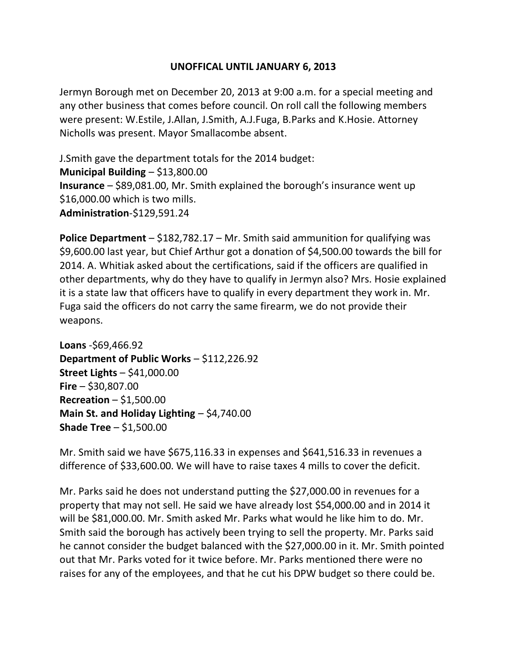## **UNOFFICAL UNTIL JANUARY 6, 2013**

Jermyn Borough met on December 20, 2013 at 9:00 a.m. for a special meeting and any other business that comes before council. On roll call the following members were present: W.Estile, J.Allan, J.Smith, A.J.Fuga, B.Parks and K.Hosie. Attorney Nicholls was present. Mayor Smallacombe absent.

J.Smith gave the department totals for the 2014 budget: **Municipal Building** – \$13,800.00 **Insurance** – \$89,081.00, Mr. Smith explained the borough's insurance went up \$16,000.00 which is two mills. **Administration**-\$129,591.24

**Police Department** – \$182,782.17 – Mr. Smith said ammunition for qualifying was \$9,600.00 last year, but Chief Arthur got a donation of \$4,500.00 towards the bill for 2014. A. Whitiak asked about the certifications, said if the officers are qualified in other departments, why do they have to qualify in Jermyn also? Mrs. Hosie explained it is a state law that officers have to qualify in every department they work in. Mr. Fuga said the officers do not carry the same firearm, we do not provide their weapons.

**Loans** -\$69,466.92 **Department of Public Works** – \$112,226.92 **Street Lights** – \$41,000.00 **Fire** – \$30,807.00 **Recreation** – \$1,500.00 **Main St. and Holiday Lighting** – \$4,740.00 **Shade Tree** – \$1,500.00

Mr. Smith said we have \$675,116.33 in expenses and \$641,516.33 in revenues a difference of \$33,600.00. We will have to raise taxes 4 mills to cover the deficit.

Mr. Parks said he does not understand putting the \$27,000.00 in revenues for a property that may not sell. He said we have already lost \$54,000.00 and in 2014 it will be \$81,000.00. Mr. Smith asked Mr. Parks what would he like him to do. Mr. Smith said the borough has actively been trying to sell the property. Mr. Parks said he cannot consider the budget balanced with the \$27,000.00 in it. Mr. Smith pointed out that Mr. Parks voted for it twice before. Mr. Parks mentioned there were no raises for any of the employees, and that he cut his DPW budget so there could be.